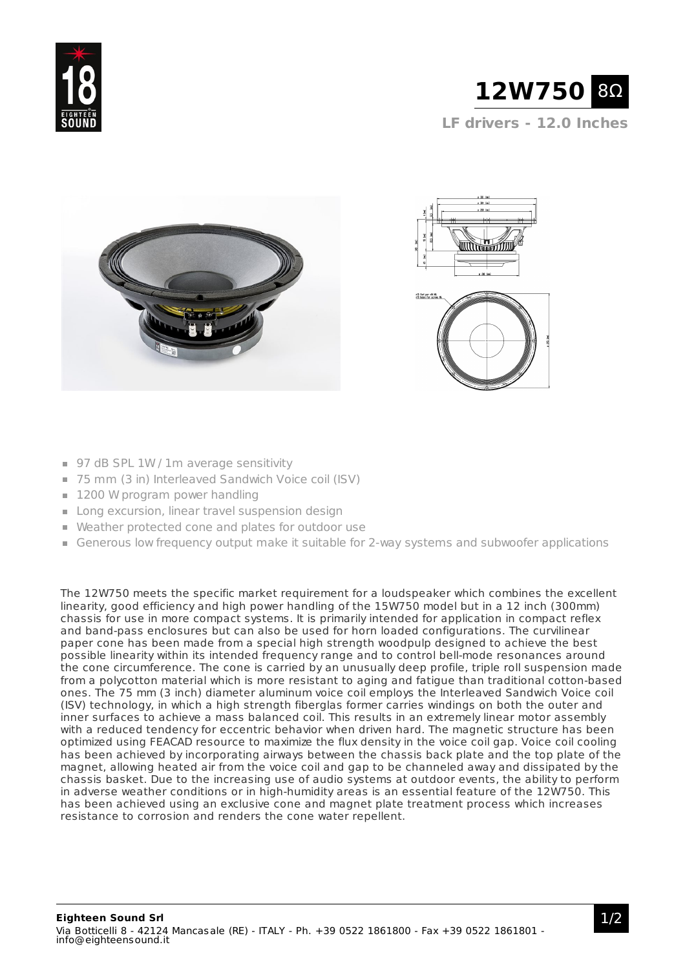





- 97 dB SPL 1W / 1m average sensitivity
- 75 mm (3 in) Interleaved Sandwich Voice coil (ISV)
- **1200 W program power handling**
- Long excursion, linear travel suspension design
- Weather protected cone and plates for outdoor use
- Generous low frequency output make it suitable for 2-way systems and subwoofer applications

The 12W750 meets the specific market requirement for a loudspeaker which combines the excellent linearity, good efficiency and high power handling of the 15W750 model but in a 12 inch (300mm) chassis for use in more compact systems. It is primarily intended for application in compact reflex and band-pass enclosures but can also be used for horn loaded configurations. The curvilinear paper cone has been made from a special high strength woodpulp designed to achieve the best possible linearity within its intended frequency range and to control bell-mode resonances around the cone circumference. The cone is carried by an unusually deep profile, triple roll suspension made from a polycotton material which is more resistant to aging and fatigue than traditional cotton-based ones. The 75 mm (3 inch) diameter aluminum voice coil employs the Interleaved Sandwich Voice coil (ISV) technology, in which a high strength fiberglas former carries windings on both the outer and inner surfaces to achieve a mass balanced coil. This results in an extremely linear motor assembly with a reduced tendency for eccentric behavior when driven hard. The magnetic structure has been optimized using FEACAD resource to maximize the flux density in the voice coil gap. Voice coil cooling has been achieved by incorporating airways between the chassis back plate and the top plate of the magnet, allowing heated air from the voice coil and gap to be channeled away and dissipated by the chassis basket. Due to the increasing use of audio systems at outdoor events, the ability to perform in adverse weather conditions or in high-humidity areas is an essential feature of the 12W750. This has been achieved using an exclusive cone and magnet plate treatment process which increases resistance to corrosion and renders the cone water repellent.